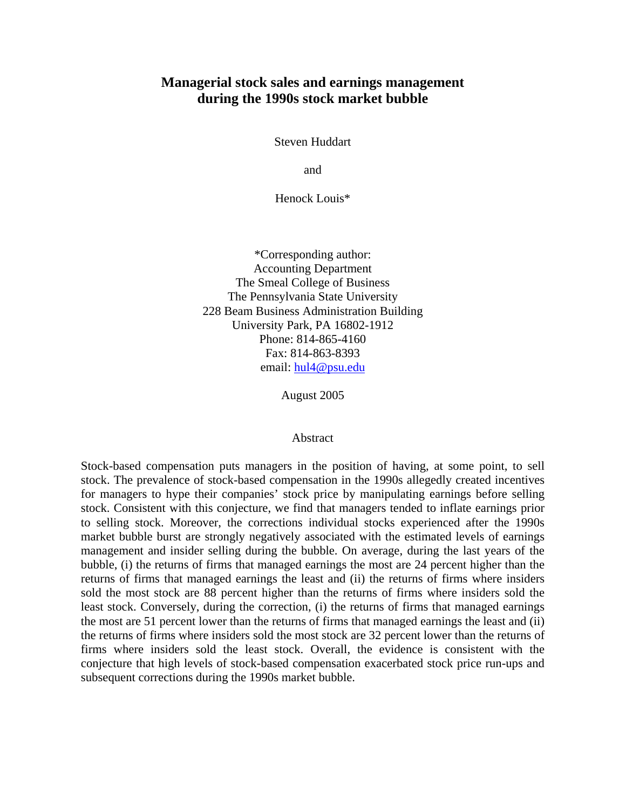## **Managerial stock sales and earnings management during the 1990s stock market bubble**

Steven Huddart

and

Henock Louis\*

\*Corresponding author: Accounting Department The Smeal College of Business The Pennsylvania State University 228 Beam Business Administration Building University Park, PA 16802-1912 Phone: 814-865-4160 Fax: 814-863-8393 email: [hul4@psu.edu](mailto:hul4@psu.edu)

August 2005

#### Abstract

Stock-based compensation puts managers in the position of having, at some point, to sell stock. The prevalence of stock-based compensation in the 1990s allegedly created incentives for managers to hype their companies' stock price by manipulating earnings before selling stock. Consistent with this conjecture, we find that managers tended to inflate earnings prior to selling stock. Moreover, the corrections individual stocks experienced after the 1990s market bubble burst are strongly negatively associated with the estimated levels of earnings management and insider selling during the bubble. On average, during the last years of the bubble, (i) the returns of firms that managed earnings the most are 24 percent higher than the returns of firms that managed earnings the least and (ii) the returns of firms where insiders sold the most stock are 88 percent higher than the returns of firms where insiders sold the least stock. Conversely, during the correction, (i) the returns of firms that managed earnings the most are 51 percent lower than the returns of firms that managed earnings the least and (ii) the returns of firms where insiders sold the most stock are 32 percent lower than the returns of firms where insiders sold the least stock. Overall, the evidence is consistent with the conjecture that high levels of stock-based compensation exacerbated stock price run-ups and subsequent corrections during the 1990s market bubble.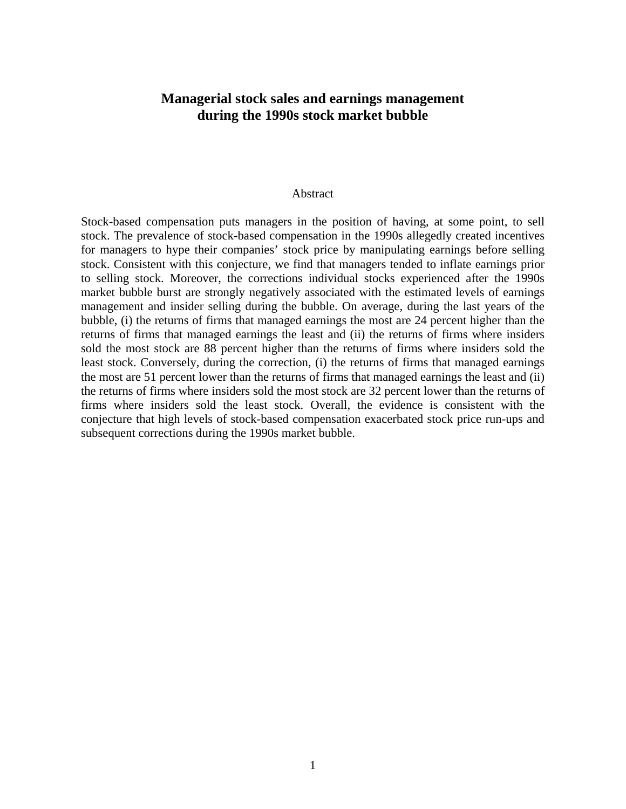## **Managerial stock sales and earnings management during the 1990s stock market bubble**

#### Abstract

Stock-based compensation puts managers in the position of having, at some point, to sell stock. The prevalence of stock-based compensation in the 1990s allegedly created incentives for managers to hype their companies' stock price by manipulating earnings before selling stock. Consistent with this conjecture, we find that managers tended to inflate earnings prior to selling stock. Moreover, the corrections individual stocks experienced after the 1990s market bubble burst are strongly negatively associated with the estimated levels of earnings management and insider selling during the bubble. On average, during the last years of the bubble, (i) the returns of firms that managed earnings the most are 24 percent higher than the returns of firms that managed earnings the least and (ii) the returns of firms where insiders sold the most stock are 88 percent higher than the returns of firms where insiders sold the least stock. Conversely, during the correction, (i) the returns of firms that managed earnings the most are 51 percent lower than the returns of firms that managed earnings the least and (ii) the returns of firms where insiders sold the most stock are 32 percent lower than the returns of firms where insiders sold the least stock. Overall, the evidence is consistent with the conjecture that high levels of stock-based compensation exacerbated stock price run-ups and subsequent corrections during the 1990s market bubble.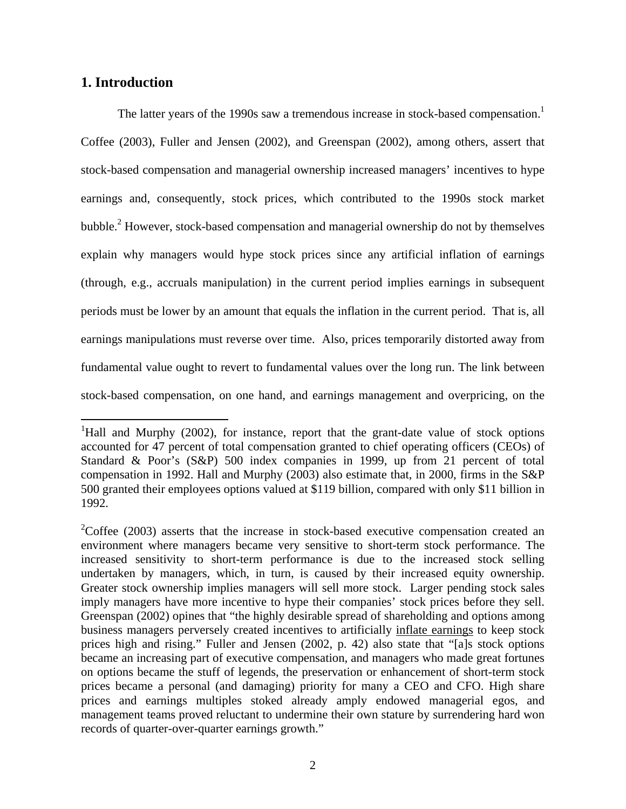## **1. Introduction**

 $\overline{a}$ 

The latter years of the [1](#page-2-0)990s saw a tremendous increase in stock-based compensation.<sup>1</sup> Coffee (2003), Fuller and Jensen (2002), and Greenspan (2002), among others, assert that stock-based compensation and managerial ownership increased managers' incentives to hype earnings and, consequently, stock prices, which contributed to the 1990s stock market bubble. $<sup>2</sup>$  $<sup>2</sup>$  $<sup>2</sup>$  However, stock-based compensation and managerial ownership do not by themselves</sup> explain why managers would hype stock prices since any artificial inflation of earnings (through, e.g., accruals manipulation) in the current period implies earnings in subsequent periods must be lower by an amount that equals the inflation in the current period. That is, all earnings manipulations must reverse over time. Also, prices temporarily distorted away from fundamental value ought to revert to fundamental values over the long run. The link between stock-based compensation, on one hand, and earnings management and overpricing, on the

<span id="page-2-0"></span><sup>&</sup>lt;sup>1</sup>Hall and Murphy (2002), for instance, report that the grant-date value of stock options accounted for 47 percent of total compensation granted to chief operating officers (CEOs) of Standard & Poor's (S&P) 500 index companies in 1999, up from 21 percent of total compensation in 1992. Hall and Murphy (2003) also estimate that, in 2000, firms in the S&P 500 granted their employees options valued at \$119 billion, compared with only \$11 billion in 1992.

<span id="page-2-1"></span><sup>&</sup>lt;sup>2</sup>Coffee (2003) asserts that the increase in stock-based executive compensation created an environment where managers became very sensitive to short-term stock performance. The increased sensitivity to short-term performance is due to the increased stock selling undertaken by managers, which, in turn, is caused by their increased equity ownership. Greater stock ownership implies managers will sell more stock. Larger pending stock sales imply managers have more incentive to hype their companies' stock prices before they sell. Greenspan (2002) opines that "the highly desirable spread of shareholding and options among business managers perversely created incentives to artificially inflate earnings to keep stock prices high and rising." Fuller and Jensen (2002, p. 42) also state that "[a]s stock options became an increasing part of executive compensation, and managers who made great fortunes on options became the stuff of legends, the preservation or enhancement of short-term stock prices became a personal (and damaging) priority for many a CEO and CFO. High share prices and earnings multiples stoked already amply endowed managerial egos, and management teams proved reluctant to undermine their own stature by surrendering hard won records of quarter-over-quarter earnings growth."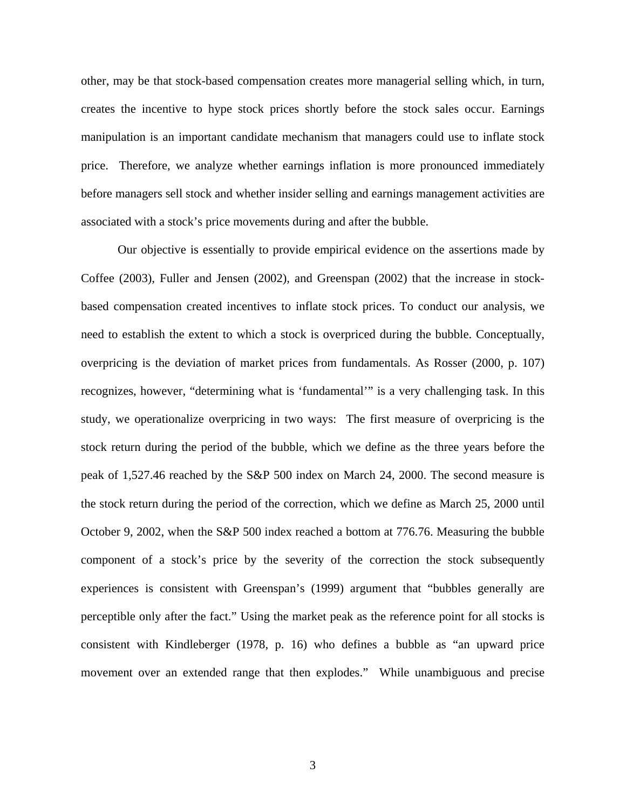other, may be that stock-based compensation creates more managerial selling which, in turn, creates the incentive to hype stock prices shortly before the stock sales occur. Earnings manipulation is an important candidate mechanism that managers could use to inflate stock price. Therefore, we analyze whether earnings inflation is more pronounced immediately before managers sell stock and whether insider selling and earnings management activities are associated with a stock's price movements during and after the bubble.

Our objective is essentially to provide empirical evidence on the assertions made by Coffee (2003), Fuller and Jensen (2002), and Greenspan (2002) that the increase in stockbased compensation created incentives to inflate stock prices. To conduct our analysis, we need to establish the extent to which a stock is overpriced during the bubble. Conceptually, overpricing is the deviation of market prices from fundamentals. As Rosser (2000, p. 107) recognizes, however, "determining what is 'fundamental'" is a very challenging task. In this study, we operationalize overpricing in two ways: The first measure of overpricing is the stock return during the period of the bubble, which we define as the three years before the peak of 1,527.46 reached by the S&P 500 index on March 24, 2000. The second measure is the stock return during the period of the correction, which we define as March 25, 2000 until October 9, 2002, when the S&P 500 index reached a bottom at 776.76. Measuring the bubble component of a stock's price by the severity of the correction the stock subsequently experiences is consistent with Greenspan's (1999) argument that "bubbles generally are perceptible only after the fact." Using the market peak as the reference point for all stocks is consistent with Kindleberger (1978, p. 16) who defines a bubble as "an upward price movement over an extended range that then explodes." While unambiguous and precise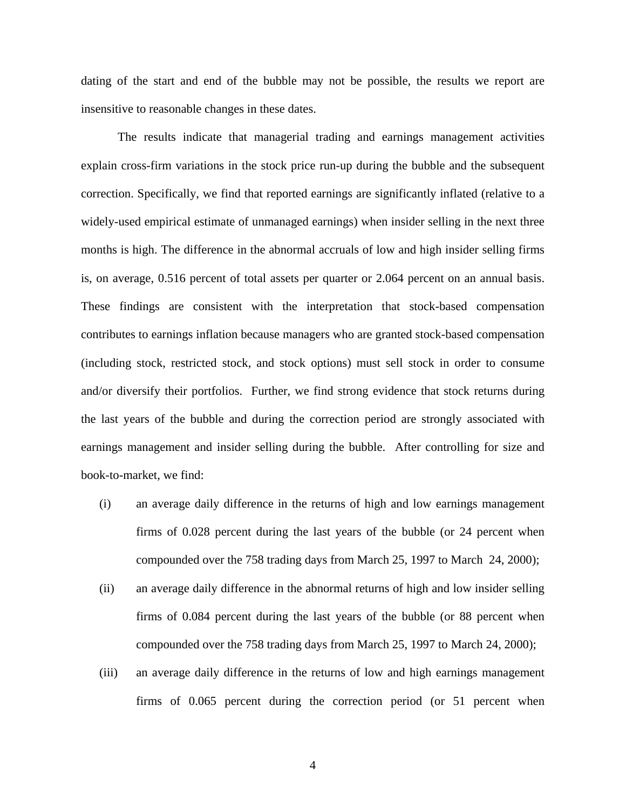dating of the start and end of the bubble may not be possible, the results we report are insensitive to reasonable changes in these dates.

The results indicate that managerial trading and earnings management activities explain cross-firm variations in the stock price run-up during the bubble and the subsequent correction. Specifically, we find that reported earnings are significantly inflated (relative to a widely-used empirical estimate of unmanaged earnings) when insider selling in the next three months is high. The difference in the abnormal accruals of low and high insider selling firms is, on average, 0.516 percent of total assets per quarter or 2.064 percent on an annual basis. These findings are consistent with the interpretation that stock-based compensation contributes to earnings inflation because managers who are granted stock-based compensation (including stock, restricted stock, and stock options) must sell stock in order to consume and/or diversify their portfolios. Further, we find strong evidence that stock returns during the last years of the bubble and during the correction period are strongly associated with earnings management and insider selling during the bubble. After controlling for size and book-to-market, we find:

- (i) an average daily difference in the returns of high and low earnings management firms of 0.028 percent during the last years of the bubble (or 24 percent when compounded over the 758 trading days from March 25, 1997 to March 24, 2000);
- (ii) an average daily difference in the abnormal returns of high and low insider selling firms of 0.084 percent during the last years of the bubble (or 88 percent when compounded over the 758 trading days from March 25, 1997 to March 24, 2000);
- (iii) an average daily difference in the returns of low and high earnings management firms of 0.065 percent during the correction period (or 51 percent when

4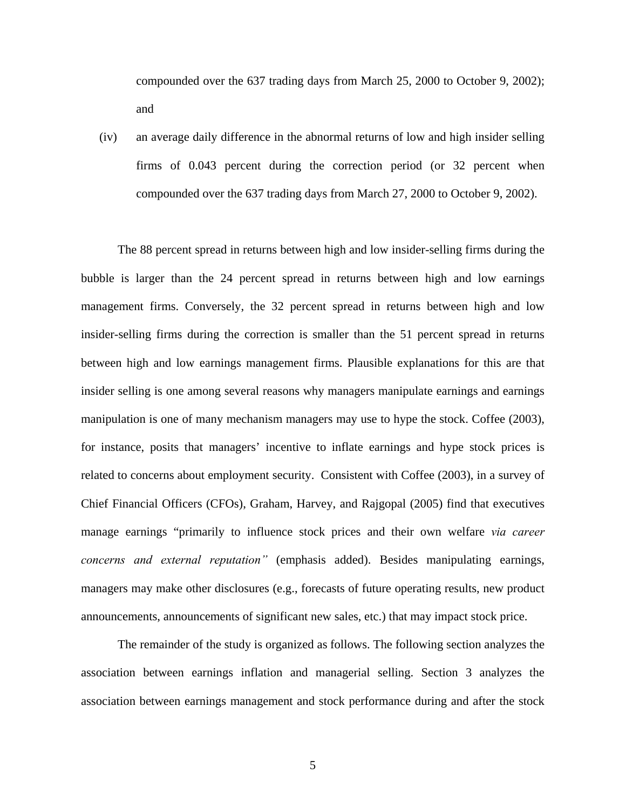compounded over the 637 trading days from March 25, 2000 to October 9, 2002); and

(iv) an average daily difference in the abnormal returns of low and high insider selling firms of 0.043 percent during the correction period (or 32 percent when compounded over the 637 trading days from March 27, 2000 to October 9, 2002).

The 88 percent spread in returns between high and low insider-selling firms during the bubble is larger than the 24 percent spread in returns between high and low earnings management firms. Conversely, the 32 percent spread in returns between high and low insider-selling firms during the correction is smaller than the 51 percent spread in returns between high and low earnings management firms. Plausible explanations for this are that insider selling is one among several reasons why managers manipulate earnings and earnings manipulation is one of many mechanism managers may use to hype the stock. Coffee (2003), for instance, posits that managers' incentive to inflate earnings and hype stock prices is related to concerns about employment security. Consistent with Coffee (2003), in a survey of Chief Financial Officers (CFOs), Graham, Harvey, and Rajgopal (2005) find that executives manage earnings "primarily to influence stock prices and their own welfare *via career concerns and external reputation"* (emphasis added). Besides manipulating earnings, managers may make other disclosures (e.g., forecasts of future operating results, new product announcements, announcements of significant new sales, etc.) that may impact stock price.

The remainder of the study is organized as follows. The following section analyzes the association between earnings inflation and managerial selling. Section 3 analyzes the association between earnings management and stock performance during and after the stock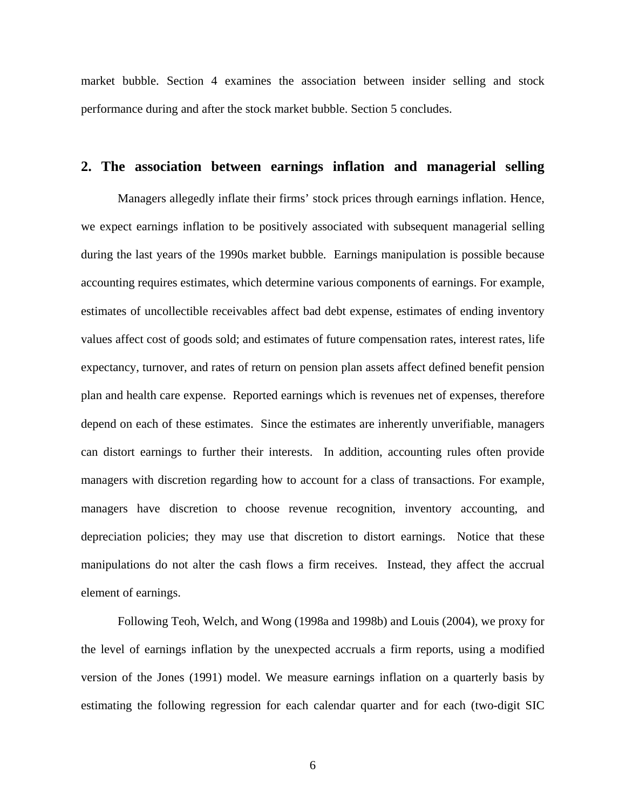market bubble. Section 4 examines the association between insider selling and stock performance during and after the stock market bubble. Section 5 concludes.

#### **2. The association between earnings inflation and managerial selling**

Managers allegedly inflate their firms' stock prices through earnings inflation. Hence, we expect earnings inflation to be positively associated with subsequent managerial selling during the last years of the 1990s market bubble. Earnings manipulation is possible because accounting requires estimates, which determine various components of earnings. For example, estimates of uncollectible receivables affect bad debt expense, estimates of ending inventory values affect cost of goods sold; and estimates of future compensation rates, interest rates, life expectancy, turnover, and rates of return on pension plan assets affect defined benefit pension plan and health care expense. Reported earnings which is revenues net of expenses, therefore depend on each of these estimates. Since the estimates are inherently unverifiable, managers can distort earnings to further their interests. In addition, accounting rules often provide managers with discretion regarding how to account for a class of transactions. For example, managers have discretion to choose revenue recognition, inventory accounting, and depreciation policies; they may use that discretion to distort earnings. Notice that these manipulations do not alter the cash flows a firm receives. Instead, they affect the accrual element of earnings.

Following Teoh, Welch, and Wong (1998a and 1998b) and Louis (2004), we proxy for the level of earnings inflation by the unexpected accruals a firm reports, using a modified version of the Jones (1991) model. We measure earnings inflation on a quarterly basis by estimating the following regression for each calendar quarter and for each (two-digit SIC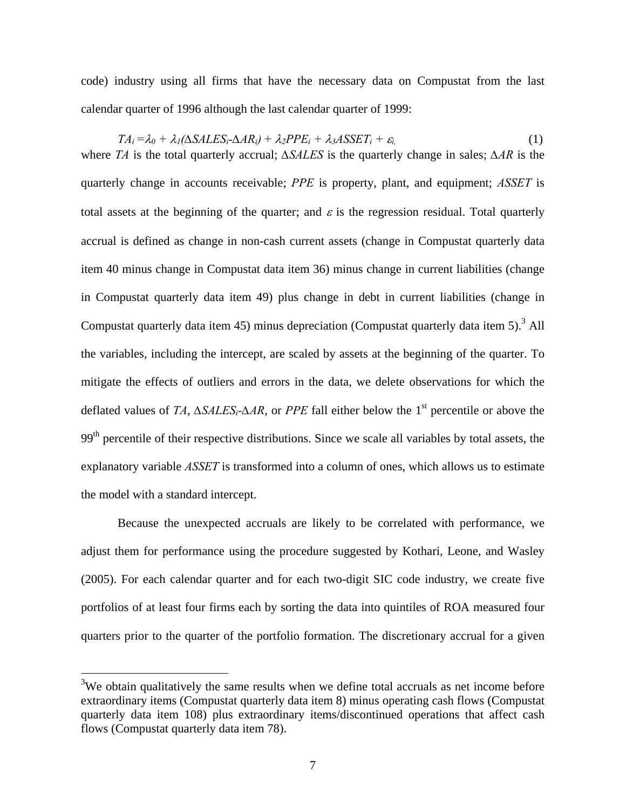code) industry using all firms that have the necessary data on Compustat from the last calendar quarter of 1996 although the last calendar quarter of 1999:

 $TA_i = \lambda_0 + \lambda_1(\Delta SALES_i - \Delta AR_i) + \lambda_2 PPE_i + \lambda_3 ASSET_i + \varepsilon_i$  (1) where *TA* is the total quarterly accrual; *∆SALES* is the quarterly change in sales; *∆AR* is the quarterly change in accounts receivable; *PPE* is property, plant, and equipment; *ASSET* is total assets at the beginning of the quarter; and  $\varepsilon$  is the regression residual. Total quarterly accrual is defined as change in non-cash current assets (change in Compustat quarterly data item 40 minus change in Compustat data item 36) minus change in current liabilities (change in Compustat quarterly data item 49) plus change in debt in current liabilities (change in Compustat quarterly data item 45) minus depreciation (Compustat quarterly data item  $5$ ).<sup>3</sup> All the variables, including the intercept, are scaled by assets at the beginning of the quarte[r.](#page-7-0) To mitigate the effects of outliers and errors in the data, we delete observations for which the deflated values of *TA*, *∆SALESi-∆AR*, or *PPE* fall either below the 1st percentile or above the  $99<sup>th</sup>$  percentile of their respective distributions. Since we scale all variables by total assets, the explanatory variable *ASSET* is transformed into a column of ones, which allows us to estimate the model with a standard intercept.

Because the unexpected accruals are likely to be correlated with performance, we adjust them for performance using the procedure suggested by Kothari, Leone, and Wasley (2005). For each calendar quarter and for each two-digit SIC code industry, we create five portfolios of at least four firms each by sorting the data into quintiles of ROA measured four quarters prior to the quarter of the portfolio formation. The discretionary accrual for a given

 $\overline{a}$ 

<span id="page-7-0"></span> $3W$ e obtain qualitatively the same results when we define total accruals as net income before extraordinary items (Compustat quarterly data item 8) minus operating cash flows (Compustat quarterly data item 108) plus extraordinary items/discontinued operations that affect cash flows (Compustat quarterly data item 78).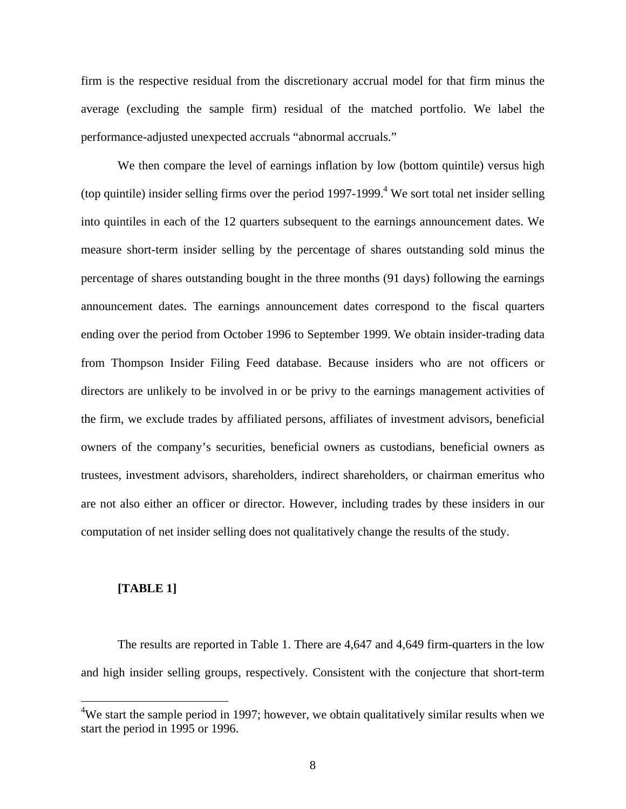firm is the respective residual from the discretionary accrual model for that firm minus the average (excluding the sample firm) residual of the matched portfolio. We label the performance-adjusted unexpected accruals "abnormal accruals."

We then compare the level of earnings inflation by low (bottom quintile) versus high (top quintile) insider selling firms over the period  $1997-1999$ .<sup>4</sup> We sort total net insider selling into quintiles in each of the 12 quarters subsequent to the e[arn](#page-8-0)ings announcement dates. We measure short-term insider selling by the percentage of shares outstanding sold minus the percentage of shares outstanding bought in the three months (91 days) following the earnings announcement dates. The earnings announcement dates correspond to the fiscal quarters ending over the period from October 1996 to September 1999. We obtain insider-trading data from Thompson Insider Filing Feed database. Because insiders who are not officers or directors are unlikely to be involved in or be privy to the earnings management activities of the firm, we exclude trades by affiliated persons, affiliates of investment advisors, beneficial owners of the company's securities, beneficial owners as custodians, beneficial owners as trustees, investment advisors, shareholders, indirect shareholders, or chairman emeritus who are not also either an officer or director. However, including trades by these insiders in our computation of net insider selling does not qualitatively change the results of the study.

#### **[TABLE 1]**

 $\overline{a}$ 

The results are reported in Table 1. There are 4,647 and 4,649 firm-quarters in the low and high insider selling groups, respectively. Consistent with the conjecture that short-term

<span id="page-8-0"></span> $4$ We start the sample period in 1997; however, we obtain qualitatively similar results when we start the period in 1995 or 1996.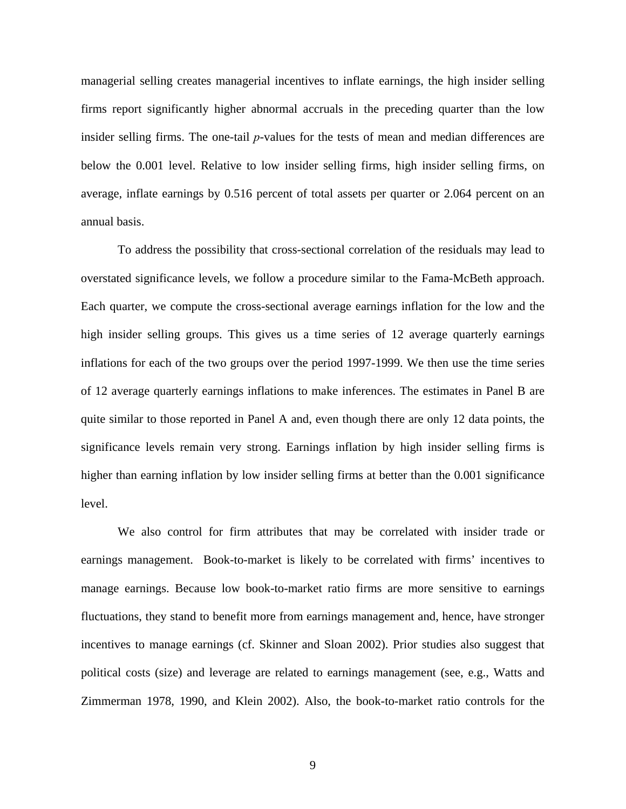managerial selling creates managerial incentives to inflate earnings, the high insider selling firms report significantly higher abnormal accruals in the preceding quarter than the low insider selling firms. The one-tail *p*-values for the tests of mean and median differences are below the 0.001 level. Relative to low insider selling firms, high insider selling firms, on average, inflate earnings by 0.516 percent of total assets per quarter or 2.064 percent on an annual basis.

To address the possibility that cross-sectional correlation of the residuals may lead to overstated significance levels, we follow a procedure similar to the Fama-McBeth approach. Each quarter, we compute the cross-sectional average earnings inflation for the low and the high insider selling groups. This gives us a time series of 12 average quarterly earnings inflations for each of the two groups over the period 1997-1999. We then use the time series of 12 average quarterly earnings inflations to make inferences. The estimates in Panel B are quite similar to those reported in Panel A and, even though there are only 12 data points, the significance levels remain very strong. Earnings inflation by high insider selling firms is higher than earning inflation by low insider selling firms at better than the 0.001 significance level.

We also control for firm attributes that may be correlated with insider trade or earnings management. Book-to-market is likely to be correlated with firms' incentives to manage earnings. Because low book-to-market ratio firms are more sensitive to earnings fluctuations, they stand to benefit more from earnings management and, hence, have stronger incentives to manage earnings (cf. Skinner and Sloan 2002). Prior studies also suggest that political costs (size) and leverage are related to earnings management (see, e.g., Watts and Zimmerman 1978, 1990, and Klein 2002). Also, the book-to-market ratio controls for the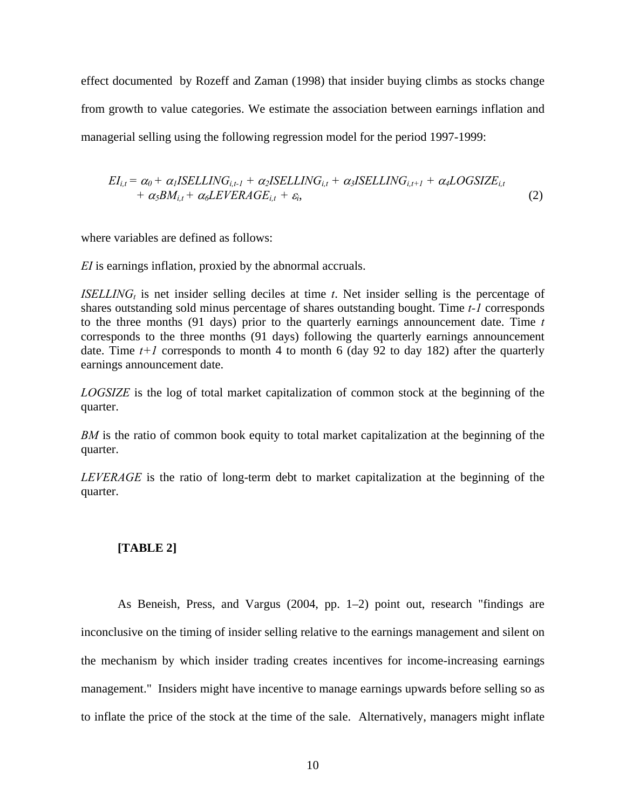effect documented by Rozeff and Zaman (1998) that insider buying climbs as stocks change from growth to value categories. We estimate the association between earnings inflation and managerial selling using the following regression model for the period 1997-1999:

$$
EI_{i,t} = \alpha_0 + \alpha_1 ISELLING_{i,t-1} + \alpha_2 ISELLING_{i,t} + \alpha_3 ISELLING_{i,t+1} + \alpha_4 LOGSIZE_{i,t} + \alpha_5 BM_{i,t} + \alpha_6 LEVERAGE_{i,t} + \varepsilon_i,
$$
\n(2)

where variables are defined as follows:

*EI* is earnings inflation, proxied by the abnormal accruals.

*ISELLING<sub>t</sub>* is net insider selling deciles at time *t*. Net insider selling is the percentage of shares outstanding sold minus percentage of shares outstanding bought. Time *t-1* corresponds to the three months (91 days) prior to the quarterly earnings announcement date. Time *t* corresponds to the three months (91 days) following the quarterly earnings announcement date. Time  $t+1$  corresponds to month 4 to month 6 (day 92 to day 182) after the quarterly earnings announcement date.

*LOGSIZE* is the log of total market capitalization of common stock at the beginning of the quarter.

*BM* is the ratio of common book equity to total market capitalization at the beginning of the quarter.

*LEVERAGE* is the ratio of long-term debt to market capitalization at the beginning of the quarter.

#### **[TABLE 2]**

As Beneish, Press, and Vargus (2004, pp. 1–2) point out, research "findings are inconclusive on the timing of insider selling relative to the earnings management and silent on the mechanism by which insider trading creates incentives for income-increasing earnings management." Insiders might have incentive to manage earnings upwards before selling so as to inflate the price of the stock at the time of the sale. Alternatively, managers might inflate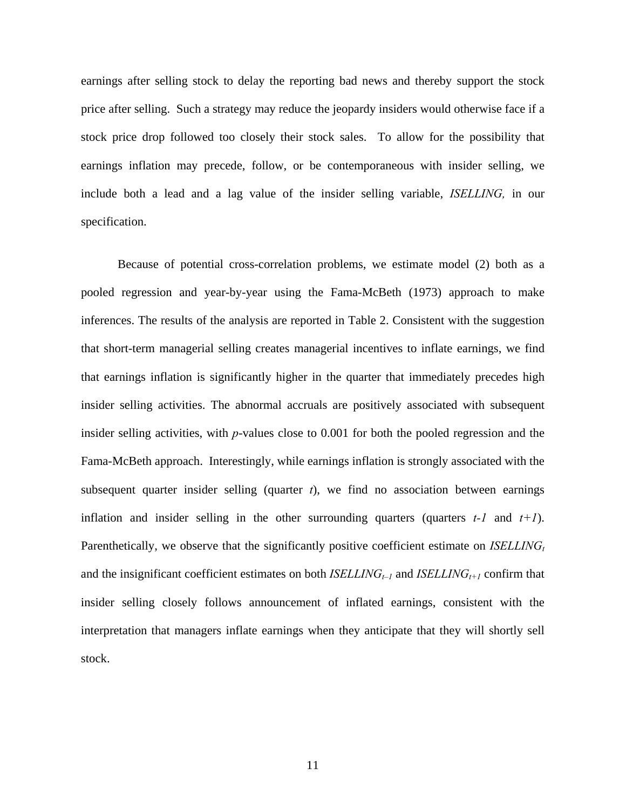earnings after selling stock to delay the reporting bad news and thereby support the stock price after selling. Such a strategy may reduce the jeopardy insiders would otherwise face if a stock price drop followed too closely their stock sales. To allow for the possibility that earnings inflation may precede, follow, or be contemporaneous with insider selling, we include both a lead and a lag value of the insider selling variable, *ISELLING,* in our specification.

Because of potential cross-correlation problems, we estimate model (2) both as a pooled regression and year-by-year using the Fama-McBeth (1973) approach to make inferences. The results of the analysis are reported in Table 2. Consistent with the suggestion that short-term managerial selling creates managerial incentives to inflate earnings, we find that earnings inflation is significantly higher in the quarter that immediately precedes high insider selling activities. The abnormal accruals are positively associated with subsequent insider selling activities, with *p*-values close to 0.001 for both the pooled regression and the Fama-McBeth approach. Interestingly, while earnings inflation is strongly associated with the subsequent quarter insider selling (quarter *t*), we find no association between earnings inflation and insider selling in the other surrounding quarters (quarters *t-1* and *t+1*). Parenthetically, we observe that the significantly positive coefficient estimate on *ISELLING*<sup>t</sup> and the insignificant coefficient estimates on both *ISELLING<sub>t-1</sub>* and *ISELLING<sub>t+1</sub>* confirm that insider selling closely follows announcement of inflated earnings, consistent with the interpretation that managers inflate earnings when they anticipate that they will shortly sell stock.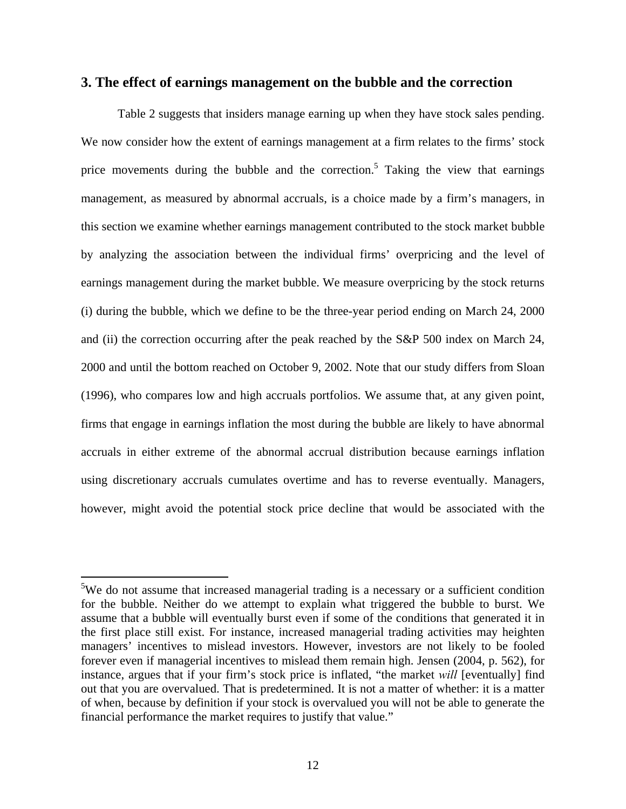#### **3. The effect of earnings management on the bubble and the correction**

Table 2 suggests that insiders manage earning up when they have stock sales pending. We now consider how the extent of earnings management at a firm relates to the firms' stock price movements during the bubble and the correction.<sup>5</sup> Taking the view that earnings management, as measured by abnormal accruals, is a choice made by a firm's managers, in this section we examine whether earnings management con[tr](#page-12-0)ibuted to the stock market bubble by analyzing the association between the individual firms' overpricing and the level of earnings management during the market bubble. We measure overpricing by the stock returns (i) during the bubble, which we define to be the three-year period ending on March 24, 2000 and (ii) the correction occurring after the peak reached by the S&P 500 index on March 24, 2000 and until the bottom reached on October 9, 2002. Note that our study differs from Sloan (1996), who compares low and high accruals portfolios. We assume that, at any given point, firms that engage in earnings inflation the most during the bubble are likely to have abnormal accruals in either extreme of the abnormal accrual distribution because earnings inflation using discretionary accruals cumulates overtime and has to reverse eventually. Managers, however, might avoid the potential stock price decline that would be associated with the

<span id="page-12-0"></span><sup>&</sup>lt;sup>5</sup>We do not assume that increased managerial trading is a necessary or a sufficient condition for the bubble. Neither do we attempt to explain what triggered the bubble to burst. We assume that a bubble will eventually burst even if some of the conditions that generated it in the first place still exist. For instance, increased managerial trading activities may heighten managers' incentives to mislead investors. However, investors are not likely to be fooled forever even if managerial incentives to mislead them remain high. Jensen (2004, p. 562), for instance, argues that if your firm's stock price is inflated, "the market *will* [eventually] find out that you are overvalued. That is predetermined. It is not a matter of whether: it is a matter of when, because by definition if your stock is overvalued you will not be able to generate the financial performance the market requires to justify that value."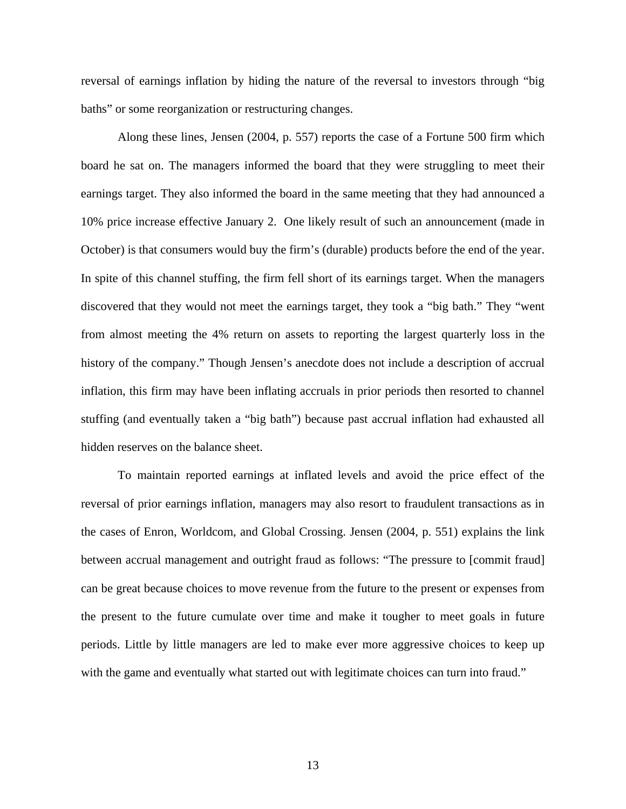reversal of earnings inflation by hiding the nature of the reversal to investors through "big baths" or some reorganization or restructuring changes.

Along these lines, Jensen (2004, p. 557) reports the case of a Fortune 500 firm which board he sat on. The managers informed the board that they were struggling to meet their earnings target. They also informed the board in the same meeting that they had announced a 10% price increase effective January 2. One likely result of such an announcement (made in October) is that consumers would buy the firm's (durable) products before the end of the year. In spite of this channel stuffing, the firm fell short of its earnings target. When the managers discovered that they would not meet the earnings target, they took a "big bath." They "went from almost meeting the 4% return on assets to reporting the largest quarterly loss in the history of the company." Though Jensen's anecdote does not include a description of accrual inflation, this firm may have been inflating accruals in prior periods then resorted to channel stuffing (and eventually taken a "big bath") because past accrual inflation had exhausted all hidden reserves on the balance sheet.

To maintain reported earnings at inflated levels and avoid the price effect of the reversal of prior earnings inflation, managers may also resort to fraudulent transactions as in the cases of Enron, Worldcom, and Global Crossing. Jensen (2004, p. 551) explains the link between accrual management and outright fraud as follows: "The pressure to [commit fraud] can be great because choices to move revenue from the future to the present or expenses from the present to the future cumulate over time and make it tougher to meet goals in future periods. Little by little managers are led to make ever more aggressive choices to keep up with the game and eventually what started out with legitimate choices can turn into fraud."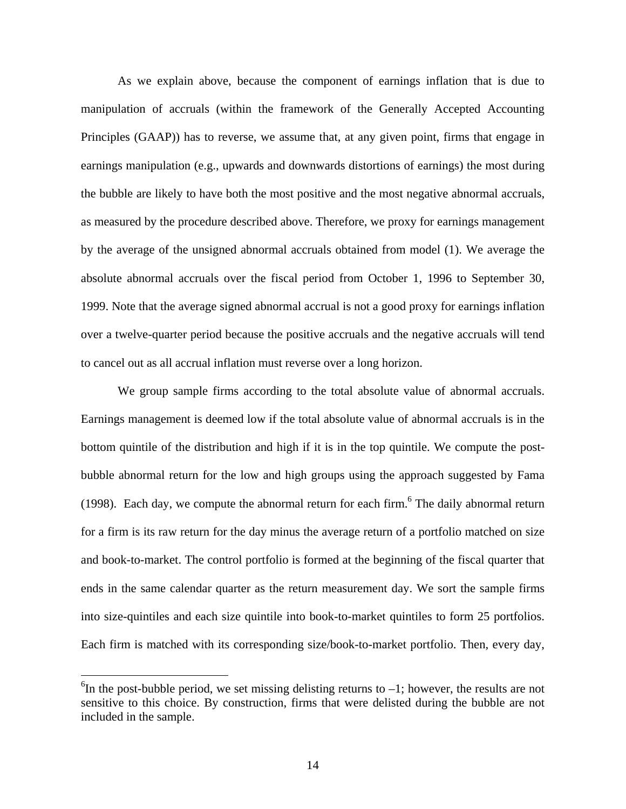As we explain above, because the component of earnings inflation that is due to manipulation of accruals (within the framework of the Generally Accepted Accounting Principles (GAAP)) has to reverse, we assume that, at any given point, firms that engage in earnings manipulation (e.g., upwards and downwards distortions of earnings) the most during the bubble are likely to have both the most positive and the most negative abnormal accruals, as measured by the procedure described above. Therefore, we proxy for earnings management by the average of the unsigned abnormal accruals obtained from model (1). We average the absolute abnormal accruals over the fiscal period from October 1, 1996 to September 30, 1999. Note that the average signed abnormal accrual is not a good proxy for earnings inflation over a twelve-quarter period because the positive accruals and the negative accruals will tend to cancel out as all accrual inflation must reverse over a long horizon.

We group sample firms according to the total absolute value of abnormal accruals. Earnings management is deemed low if the total absolute value of abnormal accruals is in the bottom quintile of the distribution and high if it is in the top quintile. We compute the postbubble abnormal return for the low and high groups using the approach suggested by Fama (1998). Each day, we compute the abnormal return for each firm.<sup>[6](#page-14-0)</sup> The daily abnormal return for a firm is its raw return for the day minus the average return of a portfolio matched on size and book-to-market. The control portfolio is formed at the beginning of the fiscal quarter that ends in the same calendar quarter as the return measurement day. We sort the sample firms into size-quintiles and each size quintile into book-to-market quintiles to form 25 portfolios. Each firm is matched with its corresponding size/book-to-market portfolio. Then, every day,

 $\overline{a}$ 

<span id="page-14-0"></span> ${}^{6}$ In the post-bubble period, we set missing delisting returns to  $-1$ ; however, the results are not sensitive to this choice. By construction, firms that were delisted during the bubble are not included in the sample.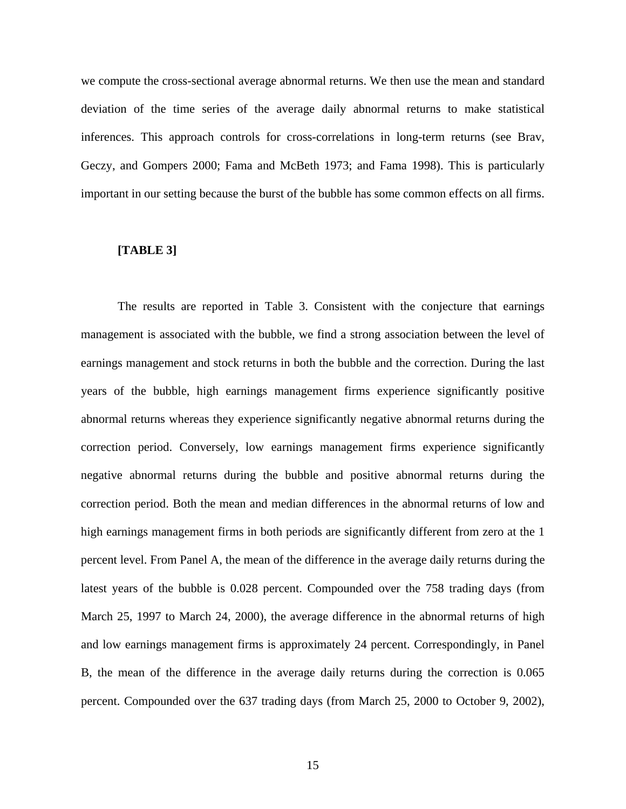we compute the cross-sectional average abnormal returns. We then use the mean and standard deviation of the time series of the average daily abnormal returns to make statistical inferences. This approach controls for cross-correlations in long-term returns (see Brav, Geczy, and Gompers 2000; Fama and McBeth 1973; and Fama 1998). This is particularly important in our setting because the burst of the bubble has some common effects on all firms.

#### **[TABLE 3]**

The results are reported in Table 3. Consistent with the conjecture that earnings management is associated with the bubble, we find a strong association between the level of earnings management and stock returns in both the bubble and the correction. During the last years of the bubble, high earnings management firms experience significantly positive abnormal returns whereas they experience significantly negative abnormal returns during the correction period. Conversely, low earnings management firms experience significantly negative abnormal returns during the bubble and positive abnormal returns during the correction period. Both the mean and median differences in the abnormal returns of low and high earnings management firms in both periods are significantly different from zero at the 1 percent level. From Panel A, the mean of the difference in the average daily returns during the latest years of the bubble is 0.028 percent. Compounded over the 758 trading days (from March 25, 1997 to March 24, 2000), the average difference in the abnormal returns of high and low earnings management firms is approximately 24 percent. Correspondingly, in Panel B, the mean of the difference in the average daily returns during the correction is 0.065 percent. Compounded over the 637 trading days (from March 25, 2000 to October 9, 2002),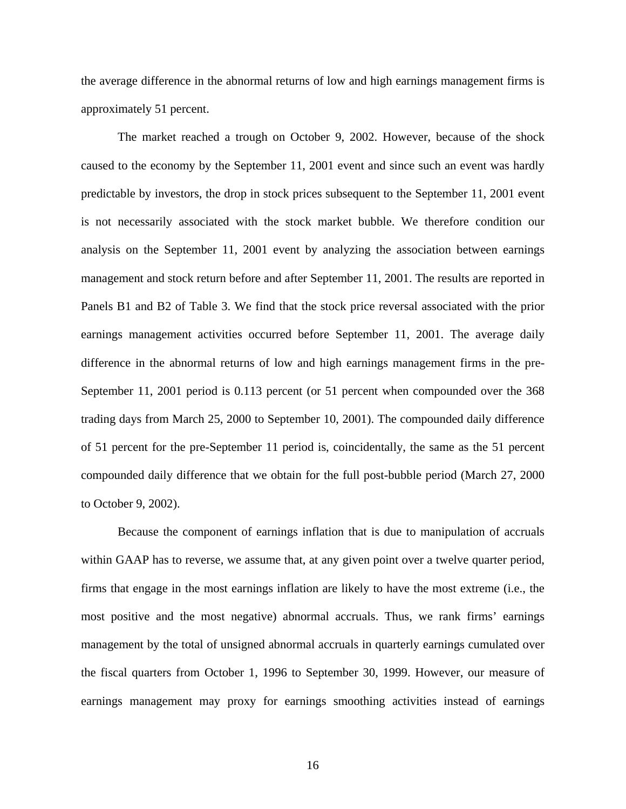the average difference in the abnormal returns of low and high earnings management firms is approximately 51 percent.

The market reached a trough on October 9, 2002. However, because of the shock caused to the economy by the September 11, 2001 event and since such an event was hardly predictable by investors, the drop in stock prices subsequent to the September 11, 2001 event is not necessarily associated with the stock market bubble. We therefore condition our analysis on the September 11, 2001 event by analyzing the association between earnings management and stock return before and after September 11, 2001. The results are reported in Panels B1 and B2 of Table 3. We find that the stock price reversal associated with the prior earnings management activities occurred before September 11, 2001. The average daily difference in the abnormal returns of low and high earnings management firms in the pre-September 11, 2001 period is 0.113 percent (or 51 percent when compounded over the 368 trading days from March 25, 2000 to September 10, 2001). The compounded daily difference of 51 percent for the pre-September 11 period is, coincidentally, the same as the 51 percent compounded daily difference that we obtain for the full post-bubble period (March 27, 2000 to October 9, 2002).

Because the component of earnings inflation that is due to manipulation of accruals within GAAP has to reverse, we assume that, at any given point over a twelve quarter period, firms that engage in the most earnings inflation are likely to have the most extreme (i.e., the most positive and the most negative) abnormal accruals. Thus, we rank firms' earnings management by the total of unsigned abnormal accruals in quarterly earnings cumulated over the fiscal quarters from October 1, 1996 to September 30, 1999. However, our measure of earnings management may proxy for earnings smoothing activities instead of earnings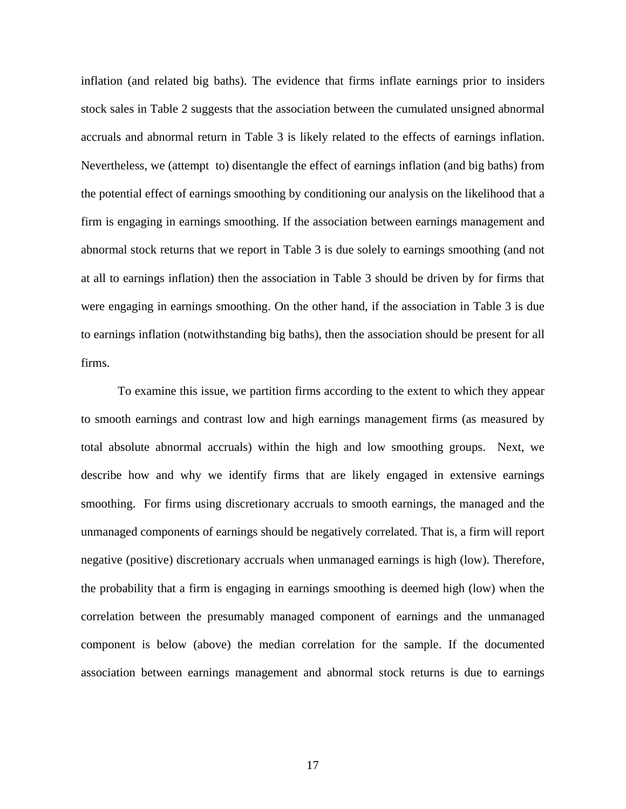inflation (and related big baths). The evidence that firms inflate earnings prior to insiders stock sales in Table 2 suggests that the association between the cumulated unsigned abnormal accruals and abnormal return in Table 3 is likely related to the effects of earnings inflation. Nevertheless, we (attempt to) disentangle the effect of earnings inflation (and big baths) from the potential effect of earnings smoothing by conditioning our analysis on the likelihood that a firm is engaging in earnings smoothing. If the association between earnings management and abnormal stock returns that we report in Table 3 is due solely to earnings smoothing (and not at all to earnings inflation) then the association in Table 3 should be driven by for firms that were engaging in earnings smoothing. On the other hand, if the association in Table 3 is due to earnings inflation (notwithstanding big baths), then the association should be present for all firms.

To examine this issue, we partition firms according to the extent to which they appear to smooth earnings and contrast low and high earnings management firms (as measured by total absolute abnormal accruals) within the high and low smoothing groups. Next, we describe how and why we identify firms that are likely engaged in extensive earnings smoothing. For firms using discretionary accruals to smooth earnings, the managed and the unmanaged components of earnings should be negatively correlated. That is, a firm will report negative (positive) discretionary accruals when unmanaged earnings is high (low). Therefore, the probability that a firm is engaging in earnings smoothing is deemed high (low) when the correlation between the presumably managed component of earnings and the unmanaged component is below (above) the median correlation for the sample. If the documented association between earnings management and abnormal stock returns is due to earnings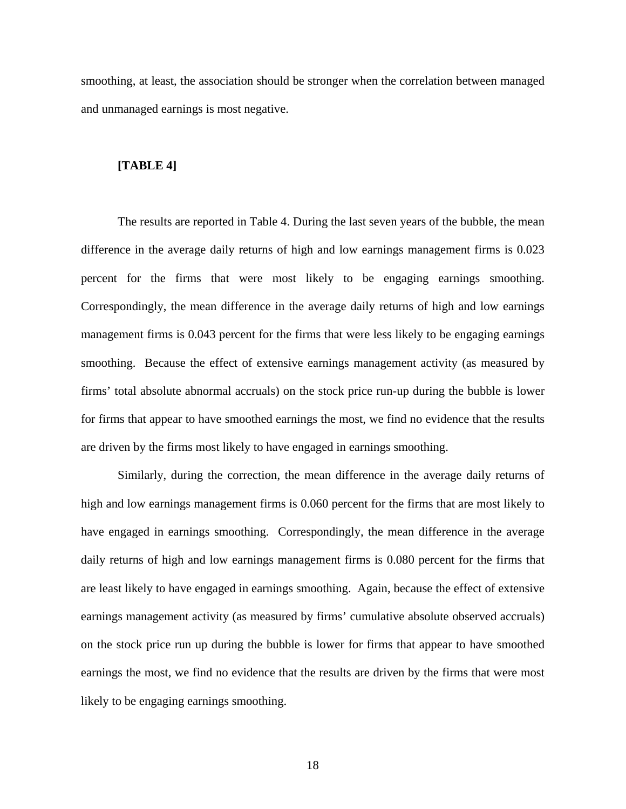smoothing, at least, the association should be stronger when the correlation between managed and unmanaged earnings is most negative.

#### **[TABLE 4]**

The results are reported in Table 4. During the last seven years of the bubble, the mean difference in the average daily returns of high and low earnings management firms is 0.023 percent for the firms that were most likely to be engaging earnings smoothing. Correspondingly, the mean difference in the average daily returns of high and low earnings management firms is 0.043 percent for the firms that were less likely to be engaging earnings smoothing. Because the effect of extensive earnings management activity (as measured by firms' total absolute abnormal accruals) on the stock price run-up during the bubble is lower for firms that appear to have smoothed earnings the most, we find no evidence that the results are driven by the firms most likely to have engaged in earnings smoothing.

Similarly, during the correction, the mean difference in the average daily returns of high and low earnings management firms is 0.060 percent for the firms that are most likely to have engaged in earnings smoothing. Correspondingly, the mean difference in the average daily returns of high and low earnings management firms is 0.080 percent for the firms that are least likely to have engaged in earnings smoothing. Again, because the effect of extensive earnings management activity (as measured by firms' cumulative absolute observed accruals) on the stock price run up during the bubble is lower for firms that appear to have smoothed earnings the most, we find no evidence that the results are driven by the firms that were most likely to be engaging earnings smoothing.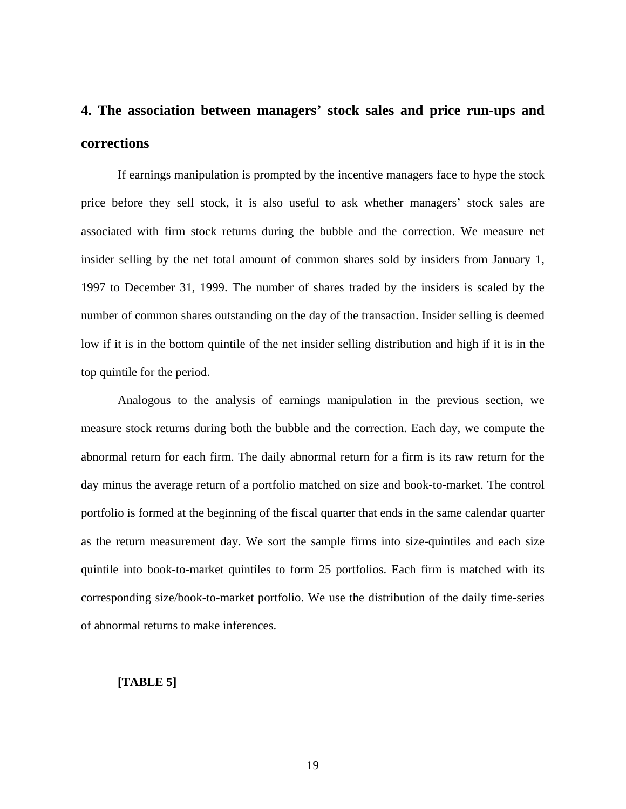# **4. The association between managers' stock sales and price run-ups and corrections**

If earnings manipulation is prompted by the incentive managers face to hype the stock price before they sell stock, it is also useful to ask whether managers' stock sales are associated with firm stock returns during the bubble and the correction. We measure net insider selling by the net total amount of common shares sold by insiders from January 1, 1997 to December 31, 1999. The number of shares traded by the insiders is scaled by the number of common shares outstanding on the day of the transaction. Insider selling is deemed low if it is in the bottom quintile of the net insider selling distribution and high if it is in the top quintile for the period.

Analogous to the analysis of earnings manipulation in the previous section, we measure stock returns during both the bubble and the correction. Each day, we compute the abnormal return for each firm. The daily abnormal return for a firm is its raw return for the day minus the average return of a portfolio matched on size and book-to-market. The control portfolio is formed at the beginning of the fiscal quarter that ends in the same calendar quarter as the return measurement day. We sort the sample firms into size-quintiles and each size quintile into book-to-market quintiles to form 25 portfolios. Each firm is matched with its corresponding size/book-to-market portfolio. We use the distribution of the daily time-series of abnormal returns to make inferences.

### **[TABLE 5]**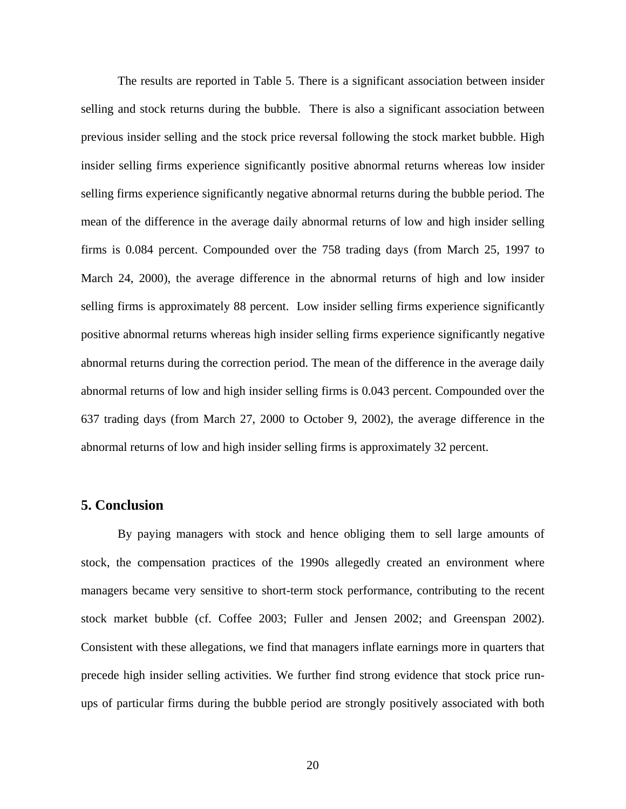The results are reported in Table 5. There is a significant association between insider selling and stock returns during the bubble. There is also a significant association between previous insider selling and the stock price reversal following the stock market bubble. High insider selling firms experience significantly positive abnormal returns whereas low insider selling firms experience significantly negative abnormal returns during the bubble period. The mean of the difference in the average daily abnormal returns of low and high insider selling firms is 0.084 percent. Compounded over the 758 trading days (from March 25, 1997 to March 24, 2000), the average difference in the abnormal returns of high and low insider selling firms is approximately 88 percent. Low insider selling firms experience significantly positive abnormal returns whereas high insider selling firms experience significantly negative abnormal returns during the correction period. The mean of the difference in the average daily abnormal returns of low and high insider selling firms is 0.043 percent. Compounded over the 637 trading days (from March 27, 2000 to October 9, 2002), the average difference in the abnormal returns of low and high insider selling firms is approximately 32 percent.

## **5. Conclusion**

By paying managers with stock and hence obliging them to sell large amounts of stock, the compensation practices of the 1990s allegedly created an environment where managers became very sensitive to short-term stock performance, contributing to the recent stock market bubble (cf. Coffee 2003; Fuller and Jensen 2002; and Greenspan 2002). Consistent with these allegations, we find that managers inflate earnings more in quarters that precede high insider selling activities. We further find strong evidence that stock price runups of particular firms during the bubble period are strongly positively associated with both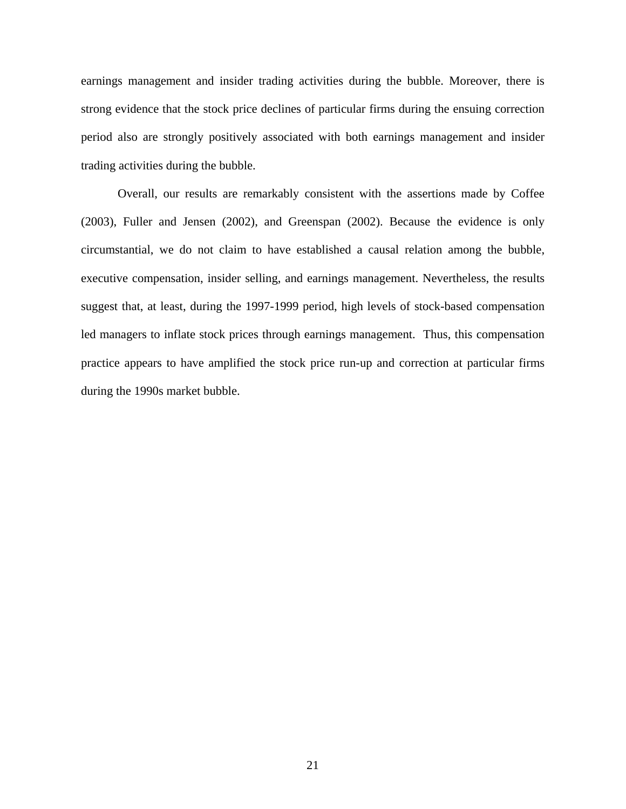earnings management and insider trading activities during the bubble. Moreover, there is strong evidence that the stock price declines of particular firms during the ensuing correction period also are strongly positively associated with both earnings management and insider trading activities during the bubble.

Overall, our results are remarkably consistent with the assertions made by Coffee (2003), Fuller and Jensen (2002), and Greenspan (2002). Because the evidence is only circumstantial, we do not claim to have established a causal relation among the bubble, executive compensation, insider selling, and earnings management. Nevertheless, the results suggest that, at least, during the 1997-1999 period, high levels of stock-based compensation led managers to inflate stock prices through earnings management. Thus, this compensation practice appears to have amplified the stock price run-up and correction at particular firms during the 1990s market bubble.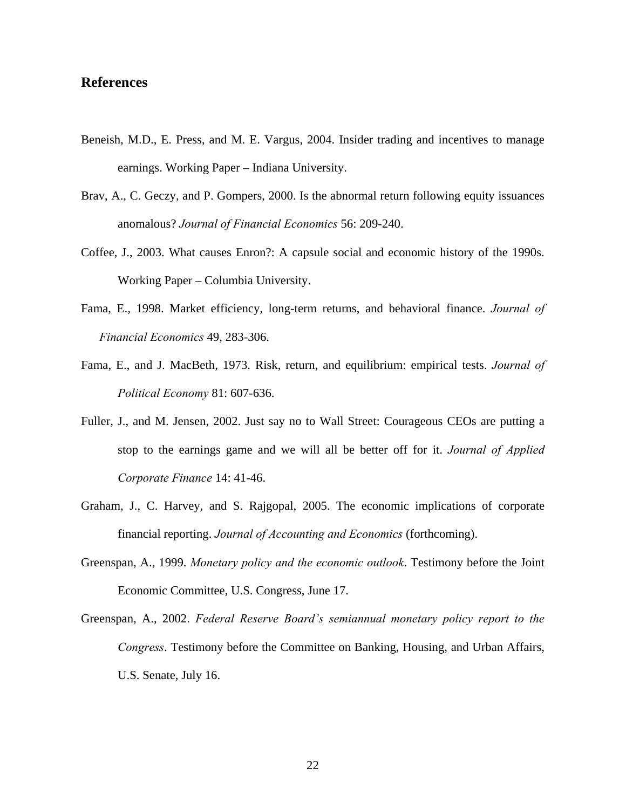## **References**

- Beneish, M.D., E. Press, and M. E. Vargus, 2004. Insider trading and incentives to manage earnings. Working Paper – Indiana University.
- Brav, A., C. Geczy, and P. Gompers, 2000. Is the abnormal return following equity issuances anomalous? *Journal of Financial Economics* 56: 209-240.
- Coffee, J., 2003. What causes Enron?: A capsule social and economic history of the 1990s. Working Paper – Columbia University.
- Fama, E., 1998. Market efficiency, long-term returns, and behavioral finance. *Journal of Financial Economics* 49, 283-306.
- Fama, E., and J. MacBeth, 1973. Risk, return, and equilibrium: empirical tests. *Journal of Political Economy* 81: 607-636.
- Fuller, J., and M. Jensen, 2002. Just say no to Wall Street: Courageous CEOs are putting a stop to the earnings game and we will all be better off for it. *Journal of Applied Corporate Finance* 14: 41-46.
- Graham, J., C. Harvey, and S. Rajgopal, 2005. The economic implications of corporate financial reporting. *Journal of Accounting and Economics* (forthcoming).
- Greenspan, A., 1999. *Monetary policy and the economic outlook*. Testimony before the Joint Economic Committee, U.S. Congress, June 17.
- Greenspan, A., 2002. *Federal Reserve Board's semiannual monetary policy report to the Congress*. Testimony before the Committee on Banking, Housing, and Urban Affairs, U.S. Senate, July 16.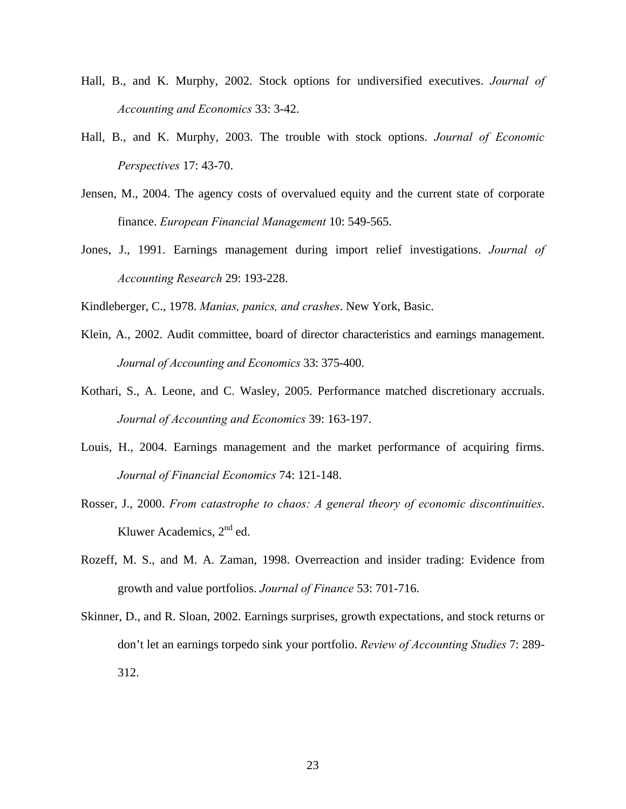- Hall, B., and K. Murphy, 2002. Stock options for undiversified executives. *Journal of Accounting and Economics* 33: 3-42.
- Hall, B., and K. Murphy, 2003. The trouble with stock options. *Journal of Economic Perspectives* 17: 43-70.
- Jensen, M., 2004. The agency costs of overvalued equity and the current state of corporate finance. *European Financial Management* 10: 549-565.
- Jones, J., 1991. Earnings management during import relief investigations. *Journal of Accounting Research* 29: 193-228.
- Kindleberger, C., 1978. *Manias, panics, and crashes*. New York, Basic.
- Klein, A., 2002. Audit committee, board of director characteristics and earnings management. *Journal of Accounting and Economics* 33: 375-400.
- Kothari, S., A. Leone, and C. Wasley, 2005. Performance matched discretionary accruals. *Journal of Accounting and Economics* 39: 163-197.
- Louis, H., 2004. Earnings management and the market performance of acquiring firms. *Journal of Financial Economics* 74: 121-148.
- Rosser, J., 2000. *From catastrophe to chaos: A general theory of economic discontinuities*. Kluwer Academics, 2<sup>nd</sup> ed.
- Rozeff, M. S., and M. A. Zaman, 1998. Overreaction and insider trading: Evidence from growth and value portfolios. *Journal of Finance* 53: 701-716.
- Skinner, D., and R. Sloan, 2002. Earnings surprises, growth expectations, and stock returns or don't let an earnings torpedo sink your portfolio. *Review of Accounting Studies* 7: 289- 312.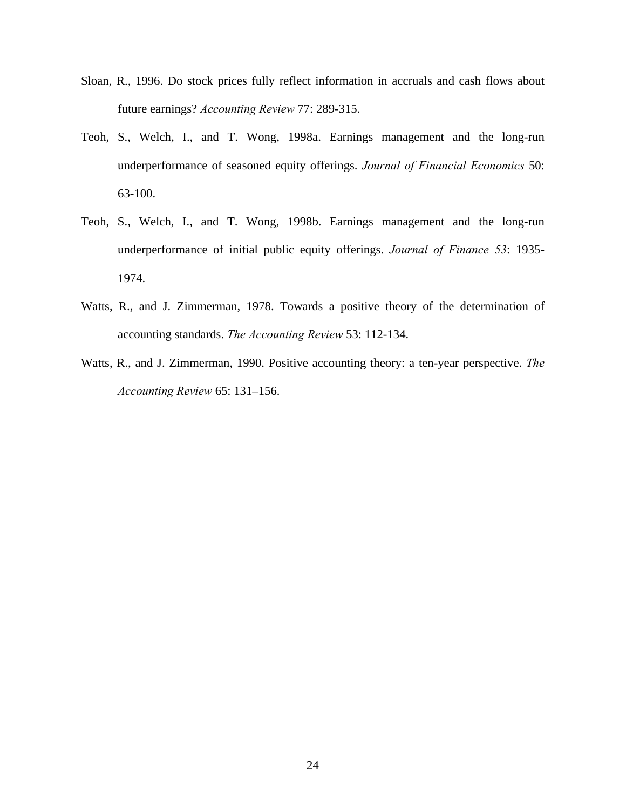- Sloan, R., 1996. Do stock prices fully reflect information in accruals and cash flows about future earnings? *Accounting Review* 77: 289-315.
- Teoh, S., Welch, I., and T. Wong, 1998a. Earnings management and the long-run underperformance of seasoned equity offerings. *Journal of Financial Economics* 50: 63-100.
- Teoh, S., Welch, I., and T. Wong, 1998b. Earnings management and the long-run underperformance of initial public equity offerings. *Journal of Finance 53*: 1935- 1974.
- Watts, R., and J. Zimmerman, 1978. Towards a positive theory of the determination of accounting standards. *The Accounting Review* 53: 112-134.
- Watts, R., and J. Zimmerman, 1990. Positive accounting theory: a ten-year perspective. *The Accounting Review* 65: 131–156.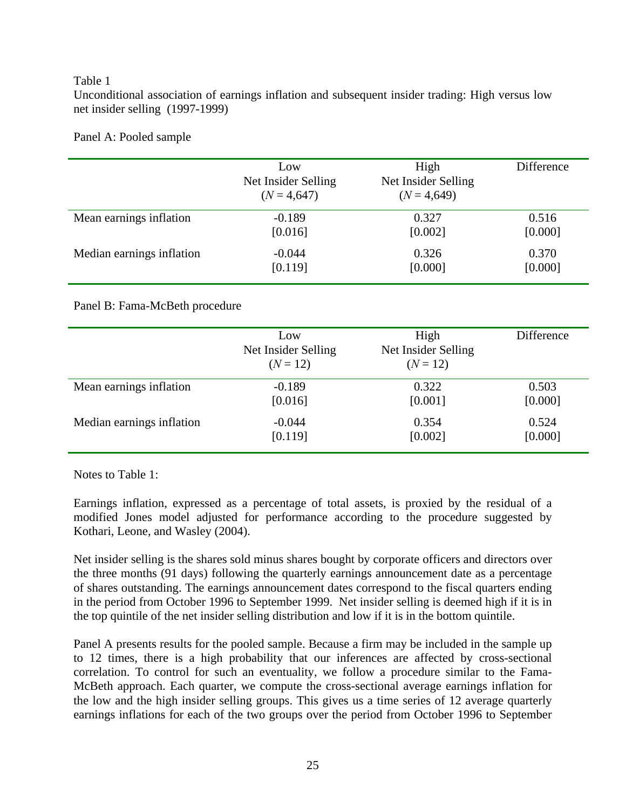## Table 1

Unconditional association of earnings inflation and subsequent insider trading: High versus low net insider selling (1997-1999)

Panel A: Pooled sample

|                           | Low<br>Net Insider Selling<br>$(N = 4,647)$ | High<br>Net Insider Selling<br>$(N = 4,649)$ | Difference |
|---------------------------|---------------------------------------------|----------------------------------------------|------------|
| Mean earnings inflation   | $-0.189$                                    | 0.327                                        | 0.516      |
|                           | [0.016]                                     | [0.002]                                      | [0.000]    |
| Median earnings inflation | $-0.044$                                    | 0.326                                        | 0.370      |
|                           | [0.119]                                     | [0.000]                                      | [0.000]    |

Panel B: Fama-McBeth procedure

|                           | Low<br>Net Insider Selling<br>$(N = 12)$ | High<br>Net Insider Selling<br>$(N = 12)$ | Difference |
|---------------------------|------------------------------------------|-------------------------------------------|------------|
| Mean earnings inflation   | $-0.189$                                 | 0.322                                     | 0.503      |
|                           | [0.016]                                  | [0.001]                                   | [0.000]    |
| Median earnings inflation | $-0.044$                                 | 0.354                                     | 0.524      |
|                           | [0.119]                                  | [0.002]                                   | [0.000]    |

Notes to Table 1:

Earnings inflation, expressed as a percentage of total assets, is proxied by the residual of a modified Jones model adjusted for performance according to the procedure suggested by Kothari, Leone, and Wasley (2004).

Net insider selling is the shares sold minus shares bought by corporate officers and directors over the three months (91 days) following the quarterly earnings announcement date as a percentage of shares outstanding. The earnings announcement dates correspond to the fiscal quarters ending in the period from October 1996 to September 1999. Net insider selling is deemed high if it is in the top quintile of the net insider selling distribution and low if it is in the bottom quintile.

Panel A presents results for the pooled sample. Because a firm may be included in the sample up to 12 times, there is a high probability that our inferences are affected by cross-sectional correlation. To control for such an eventuality, we follow a procedure similar to the Fama-McBeth approach. Each quarter, we compute the cross-sectional average earnings inflation for the low and the high insider selling groups. This gives us a time series of 12 average quarterly earnings inflations for each of the two groups over the period from October 1996 to September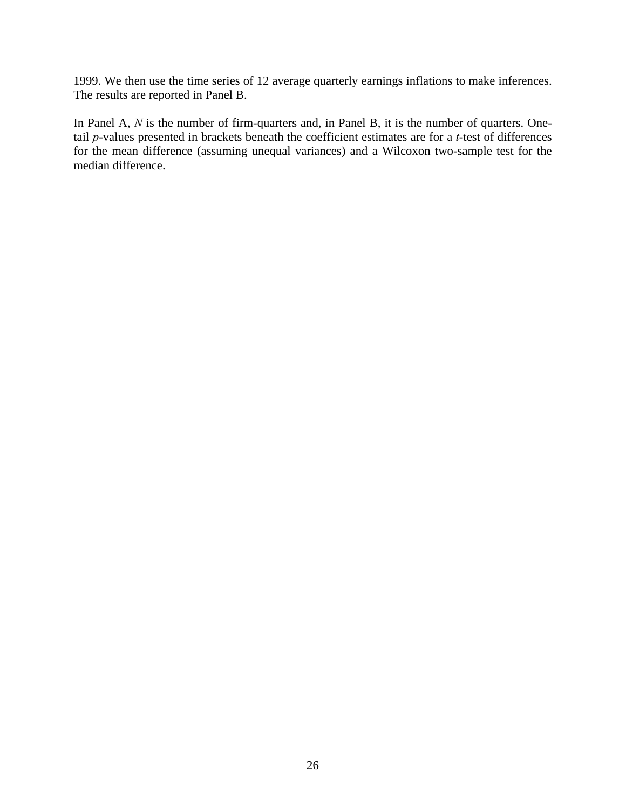1999. We then use the time series of 12 average quarterly earnings inflations to make inferences. The results are reported in Panel B.

In Panel A, N is the number of firm-quarters and, in Panel B, it is the number of quarters. Onetail *p*-values presented in brackets beneath the coefficient estimates are for a *t*-test of differences for the mean difference (assuming unequal variances) and a Wilcoxon two-sample test for the median difference.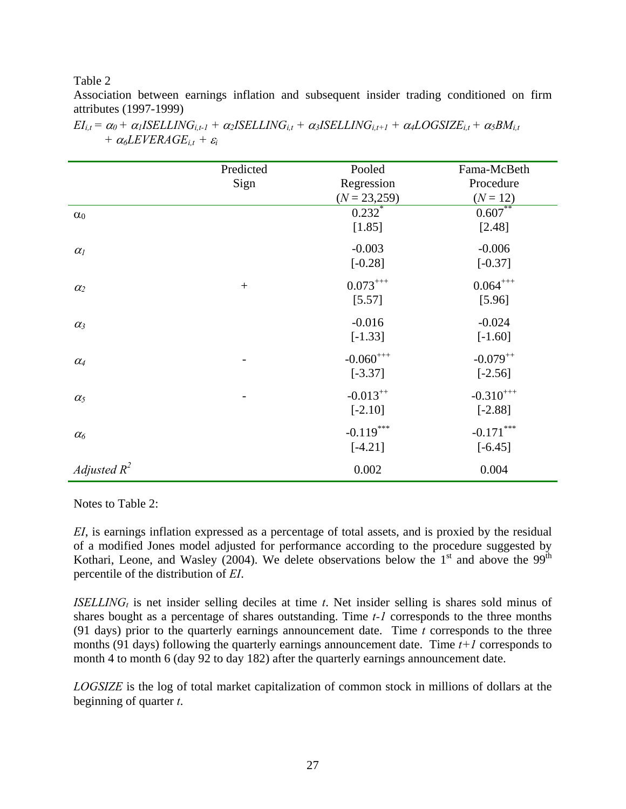Table 2

Association between earnings inflation and subsequent insider trading conditioned on firm attributes (1997-1999)

|                       | Predicted        | Pooled         | Fama-McBeth    |
|-----------------------|------------------|----------------|----------------|
|                       | Sign             | Regression     | Procedure      |
|                       |                  | $(N = 23,259)$ | $(N = 12)$     |
| $\alpha_0$            |                  | $0.232$ *      | $0.607**$      |
|                       |                  | [1.85]         | [2.48]         |
| $\alpha$ <sub>I</sub> |                  | $-0.003$       | $-0.006$       |
|                       |                  | $[-0.28]$      | $[-0.37]$      |
| $\alpha_2$            | $\boldsymbol{+}$ | $0.073***$     | $0.064***$     |
|                       |                  | [5.57]         | [5.96]         |
| $\alpha_3$            |                  | $-0.016$       | $-0.024$       |
|                       |                  | $[-1.33]$      | $[-1.60]$      |
| $\alpha_4$            |                  | $-0.060^{+++}$ | $-0.079^{++}$  |
|                       |                  | $[-3.37]$      | $[-2.56]$      |
| $\alpha_5$            |                  | $-0.013^{++}$  | $-0.310^{+++}$ |
|                       |                  | $[-2.10]$      | $[-2.88]$      |
| $\alpha_6$            |                  | $-0.119***$    | $-0.171***$    |
|                       |                  | $[-4.21]$      | $[-6.45]$      |
| Adjusted $R^2$        |                  | 0.002          | 0.004          |

 $EI_{i,t} = \alpha_0 + \alpha_1 ISELLING_{i,t-1} + \alpha_2 ISELING_{i,t} + \alpha_3 ISELLING_{i,t+1} + \alpha_4 LOGSIZE_{i,t} + \alpha_5 BM_{i,t}$ *+*  $\alpha_6$ *LEVERAGE*<sub>*i,t</sub>* +  $\varepsilon_i$ </sub>

Notes to Table 2:

*EI*, is earnings inflation expressed as a percentage of total assets, and is proxied by the residual of a modified Jones model adjusted for performance according to the procedure suggested by Kothari, Leone, and Wasley (2004). We delete observations below the  $1<sup>st</sup>$  and above the 99<sup>th</sup> percentile of the distribution of *EI*.

*ISELLING<sub>t</sub>* is net insider selling deciles at time  $t$ . Net insider selling is shares sold minus of shares bought as a percentage of shares outstanding. Time *t-1* corresponds to the three months (91 days) prior to the quarterly earnings announcement date. Time *t* corresponds to the three months (91 days) following the quarterly earnings announcement date. Time *t+1* corresponds to month 4 to month 6 (day 92 to day 182) after the quarterly earnings announcement date.

*LOGSIZE* is the log of total market capitalization of common stock in millions of dollars at the beginning of quarter *t*.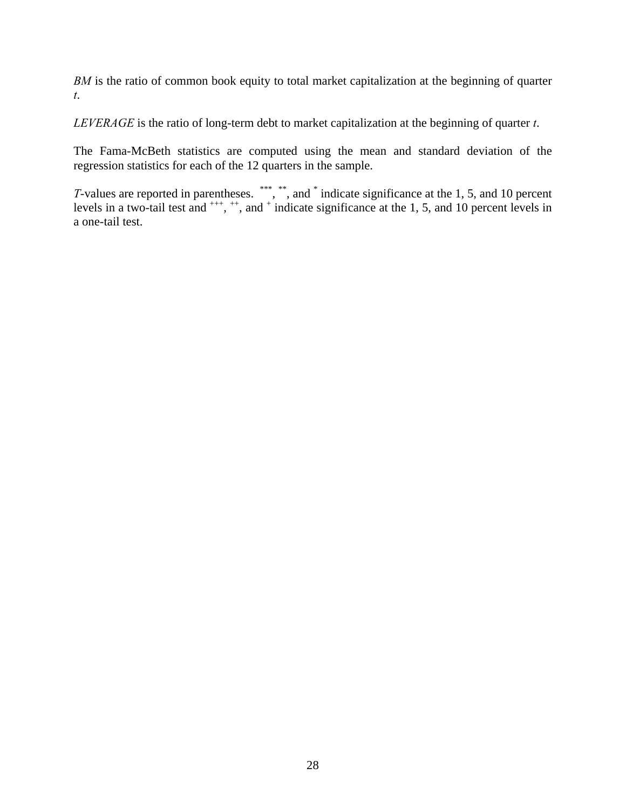*BM* is the ratio of common book equity to total market capitalization at the beginning of quarter *t*.

*LEVERAGE* is the ratio of long-term debt to market capitalization at the beginning of quarter *t*.

The Fama-McBeth statistics are computed using the mean and standard deviation of the regression statistics for each of the 12 quarters in the sample.

*T*-values are reported in parentheses. \*\*\*, \*\*, and \* indicate significance at the 1, 5, and 10 percent levels in a two-tail test and  $^{+++}$ ,  $^{++}$ , and  $^{+}$  indicate significance at the 1, 5, and 10 percent levels in a one-tail test.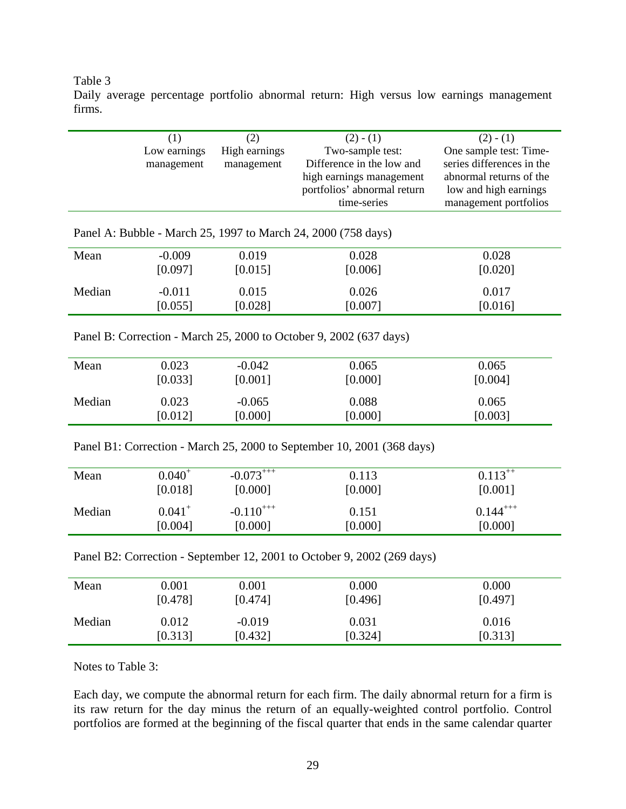#### Table 3

Daily average percentage portfolio abnormal return: High versus low earnings management firms.

|                                                               | (1)<br>Low earnings<br>management | (2)<br>High earnings<br>management | $(2) - (1)$<br>Two-sample test:<br>Difference in the low and<br>high earnings management<br>portfolios' abnormal return<br>time-series | $(2) - (1)$<br>One sample test: Time-<br>series differences in the<br>abnormal returns of the<br>low and high earnings<br>management portfolios |  |  |
|---------------------------------------------------------------|-----------------------------------|------------------------------------|----------------------------------------------------------------------------------------------------------------------------------------|-------------------------------------------------------------------------------------------------------------------------------------------------|--|--|
| Panel A: Bubble - March 25, 1997 to March 24, 2000 (758 days) |                                   |                                    |                                                                                                                                        |                                                                                                                                                 |  |  |
| Mean                                                          | $-0.009$                          | 0.019                              | 0.028                                                                                                                                  | 0.028                                                                                                                                           |  |  |
|                                                               | [0.097]                           | [0.015]                            | [0.006]                                                                                                                                | [0.020]                                                                                                                                         |  |  |
| Median                                                        | $-0.011$                          | 0.015                              | 0.026                                                                                                                                  | 0.017                                                                                                                                           |  |  |
|                                                               | [0.055]                           | [0.028]                            | [0.007]                                                                                                                                | [0.016]                                                                                                                                         |  |  |

Panel B: Correction - March 25, 2000 to October 9, 2002 (637 days)

| Mean   | 0.023   | $-0.042$ | 0.065   | 0.065   |
|--------|---------|----------|---------|---------|
|        | [0.033] | [0.001]  | [0.000] | [0.004] |
| Median | 0.023   | $-0.065$ | 0.088   | 0.065   |
|        | [0.012] | [0.000]  | [0.000] | [0.003] |

Panel B1: Correction - March 25, 2000 to September 10, 2001 (368 days)

| Mean   | $0.040^{+}$ | $-0.073^{+++}$ | 0.113   | $0.113^{++}$  |
|--------|-------------|----------------|---------|---------------|
|        | [0.018]     | [0.000]        | [0.000] | [0.001]       |
| Median | $0.041^{+}$ | $-0.110^{+++}$ | 0.151   | $0.144^{+++}$ |
|        | [0.004]     | [0.000]        | [0.000] | [0.000]       |

Panel B2: Correction - September 12, 2001 to October 9, 2002 (269 days)

| Mean   | $0.001\,$ | 0.001    | 0.000   | 0.000   |
|--------|-----------|----------|---------|---------|
|        | [0.478]   | [0.474]  | [0.496] | [0.497] |
| Median | 0.012     | $-0.019$ | 0.031   | 0.016   |
|        | [0.313]   | [0.432]  | [0.324] | [0.313] |

Notes to Table 3:

Each day, we compute the abnormal return for each firm. The daily abnormal return for a firm is its raw return for the day minus the return of an equally-weighted control portfolio. Control portfolios are formed at the beginning of the fiscal quarter that ends in the same calendar quarter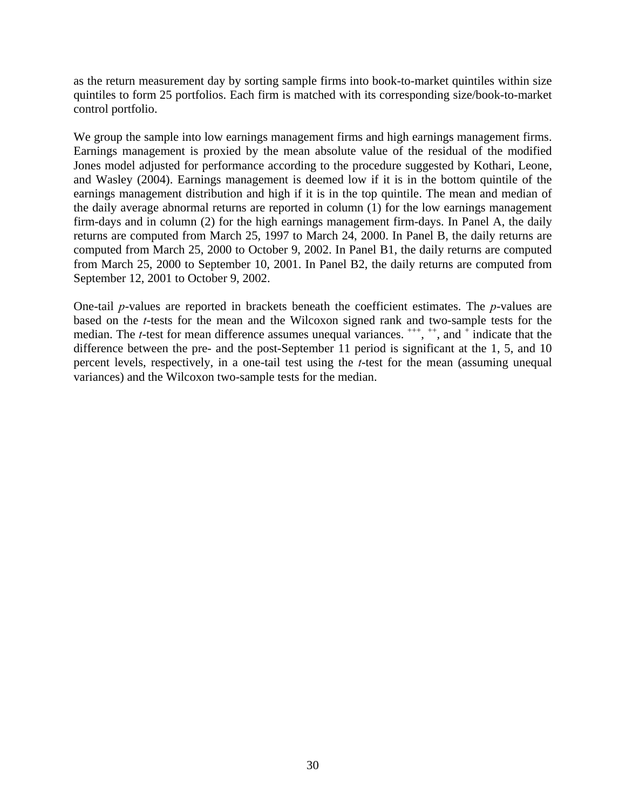as the return measurement day by sorting sample firms into book-to-market quintiles within size quintiles to form 25 portfolios. Each firm is matched with its corresponding size/book-to-market control portfolio.

We group the sample into low earnings management firms and high earnings management firms. Earnings management is proxied by the mean absolute value of the residual of the modified Jones model adjusted for performance according to the procedure suggested by Kothari, Leone, and Wasley (2004). Earnings management is deemed low if it is in the bottom quintile of the earnings management distribution and high if it is in the top quintile. The mean and median of the daily average abnormal returns are reported in column (1) for the low earnings management firm-days and in column (2) for the high earnings management firm-days. In Panel A, the daily returns are computed from March 25, 1997 to March 24, 2000. In Panel B, the daily returns are computed from March 25, 2000 to October 9, 2002. In Panel B1, the daily returns are computed from March 25, 2000 to September 10, 2001. In Panel B2, the daily returns are computed from September 12, 2001 to October 9, 2002.

One-tail *p*-values are reported in brackets beneath the coefficient estimates. The *p*-values are based on the *t*-tests for the mean and the Wilcoxon signed rank and two-sample tests for the median. The *t*-test for mean difference assumes unequal variances. <sup>+++</sup>, <sup>++</sup>, and <sup>+</sup> indicate that the difference between the pre- and the post-September 11 period is significant at the 1, 5, and 10 percent levels, respectively, in a one-tail test using the *t*-test for the mean (assuming unequal variances) and the Wilcoxon two-sample tests for the median.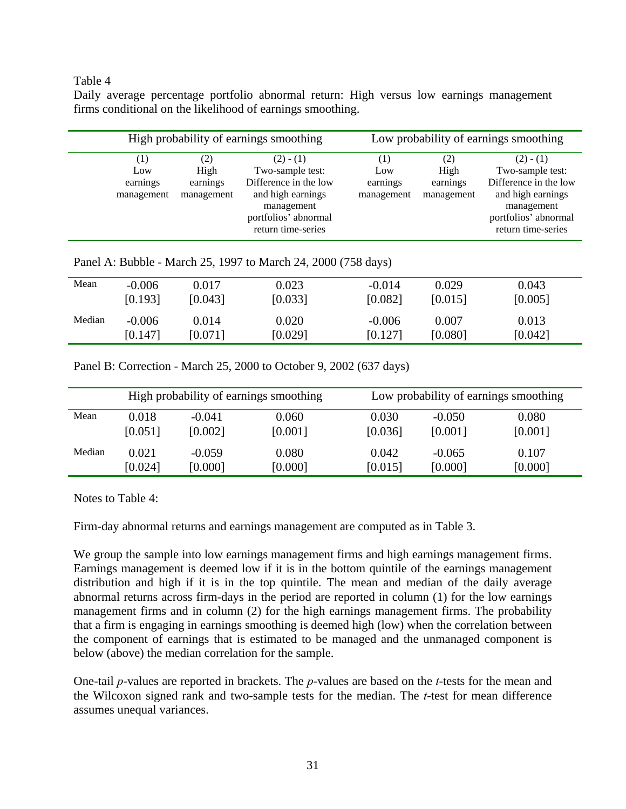### Table 4

Daily average percentage portfolio abnormal return: High versus low earnings management firms conditional on the likelihood of earnings smoothing.

| High probability of earnings smoothing |                                       |                                                                                                                                           |                                      |                                       | Low probability of earnings smoothing                                                                                                     |
|----------------------------------------|---------------------------------------|-------------------------------------------------------------------------------------------------------------------------------------------|--------------------------------------|---------------------------------------|-------------------------------------------------------------------------------------------------------------------------------------------|
| (1)<br>Low<br>earnings<br>management   | (2)<br>High<br>earnings<br>management | $(2) - (1)$<br>Two-sample test:<br>Difference in the low<br>and high earnings<br>management<br>portfolios' abnormal<br>return time-series | (1)<br>Low<br>earnings<br>management | (2)<br>High<br>earnings<br>management | $(2) - (1)$<br>Two-sample test:<br>Difference in the low<br>and high earnings<br>management<br>portfolios' abnormal<br>return time-series |

Panel A: Bubble - March 25, 1997 to March 24, 2000 (758 days)

| Mean   | $-0.006$<br>[0.193] | 0.017<br>[0.043] | 0.023<br>[0.033] | $-0.014$<br>[0.082] | 0.029<br>[0.015] | 0.043<br>[0.005] |  |
|--------|---------------------|------------------|------------------|---------------------|------------------|------------------|--|
| Median | $-0.006$<br>[0.147] | 0.014<br>[0.071] | 0.020<br>[0.029] | $-0.006$<br>[0.127] | 0.007<br>[0.080] | 0.013<br>[0.042] |  |

Panel B: Correction - March 25, 2000 to October 9, 2002 (637 days)

|        | High probability of earnings smoothing |          |         | Low probability of earnings smoothing |          |         |
|--------|----------------------------------------|----------|---------|---------------------------------------|----------|---------|
| Mean   | 0.018                                  | $-0.041$ | 0.060   | 0.030                                 | $-0.050$ | 0.080   |
|        | [0.051]                                | [0.002]  | [0.001] | [0.036]                               | [0.001]  | [0.001] |
| Median | 0.021                                  | $-0.059$ | 0.080   | 0.042                                 | $-0.065$ | 0.107   |
|        | [0.024]                                | [0.000]  | [0.000] | [0.015]                               | [0.000]  | [0.000] |

Notes to Table 4:

Firm-day abnormal returns and earnings management are computed as in Table 3.

We group the sample into low earnings management firms and high earnings management firms. Earnings management is deemed low if it is in the bottom quintile of the earnings management distribution and high if it is in the top quintile. The mean and median of the daily average abnormal returns across firm-days in the period are reported in column (1) for the low earnings management firms and in column (2) for the high earnings management firms. The probability that a firm is engaging in earnings smoothing is deemed high (low) when the correlation between the component of earnings that is estimated to be managed and the unmanaged component is below (above) the median correlation for the sample.

One-tail *p*-values are reported in brackets. The *p*-values are based on the *t*-tests for the mean and the Wilcoxon signed rank and two-sample tests for the median. The *t*-test for mean difference assumes unequal variances.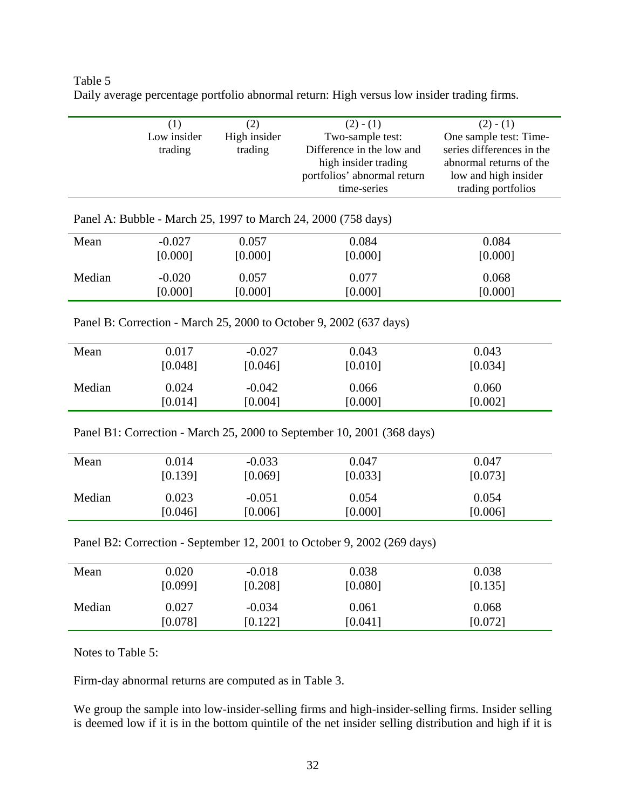| Table 5                                                                                    |  |
|--------------------------------------------------------------------------------------------|--|
| Daily average percentage portfolio abnormal return: High versus low insider trading firms. |  |

|        | (1)         | (2)          | $(2) - (1)$                                                            | $(2) - (1)$               |
|--------|-------------|--------------|------------------------------------------------------------------------|---------------------------|
|        | Low insider | High insider | Two-sample test:                                                       | One sample test: Time-    |
|        | trading     | trading      | Difference in the low and                                              | series differences in the |
|        |             |              | high insider trading                                                   | abnormal returns of the   |
|        |             |              | portfolios' abnormal return                                            | low and high insider      |
|        |             |              | time-series                                                            | trading portfolios        |
|        |             |              |                                                                        |                           |
|        |             |              | Panel A: Bubble - March 25, 1997 to March 24, 2000 (758 days)          |                           |
| Mean   | $-0.027$    | 0.057        | 0.084                                                                  | 0.084                     |
|        | [0.000]     | [0.000]      | [0.000]                                                                | [0.000]                   |
|        | $-0.020$    | 0.057        | 0.077                                                                  | 0.068                     |
| Median |             |              |                                                                        |                           |
|        | [0.000]     | [0.000]      | [0.000]                                                                | [0.000]                   |
|        |             |              |                                                                        |                           |
|        |             |              | Panel B: Correction - March 25, 2000 to October 9, 2002 (637 days)     |                           |
|        |             |              |                                                                        |                           |
| Mean   | 0.017       | $-0.027$     | 0.043                                                                  | 0.043                     |
|        | [0.048]     | [0.046]      | [0.010]                                                                | [0.034]                   |
|        |             |              |                                                                        |                           |
| Median | 0.024       | $-0.042$     | 0.066                                                                  | 0.060                     |
|        | [0.014]     | [0.004]      | [0.000]                                                                | [0.002]                   |
|        |             |              |                                                                        |                           |
|        |             |              | Panel B1: Correction - March 25, 2000 to September 10, 2001 (368 days) |                           |
|        |             |              |                                                                        |                           |
| Mean   | 0.014       | $-0.033$     | 0.047                                                                  | 0.047                     |
|        | [0.139]     | [0.069]      | [0.033]                                                                | [0.073]                   |
| Median | 0.023       | $-0.051$     | 0.054                                                                  | 0.054                     |
|        |             |              |                                                                        |                           |
|        | [0.046]     | [0.006]      | [0.000]                                                                | [0.006]                   |

Panel B2: Correction - September 12, 2001 to October 9, 2002 (269 days)

| Mean   | 0.020   | $-0.018$ | 0.038   | 0.038   |
|--------|---------|----------|---------|---------|
|        | [0.099] | [0.208]  | [0.080] | [0.135] |
| Median | 0.027   | $-0.034$ | 0.061   | 0.068   |
|        | [0.078] | [0.122]  | [0.041] | [0.072] |

Notes to Table 5:

Firm-day abnormal returns are computed as in Table 3.

We group the sample into low-insider-selling firms and high-insider-selling firms. Insider selling is deemed low if it is in the bottom quintile of the net insider selling distribution and high if it is